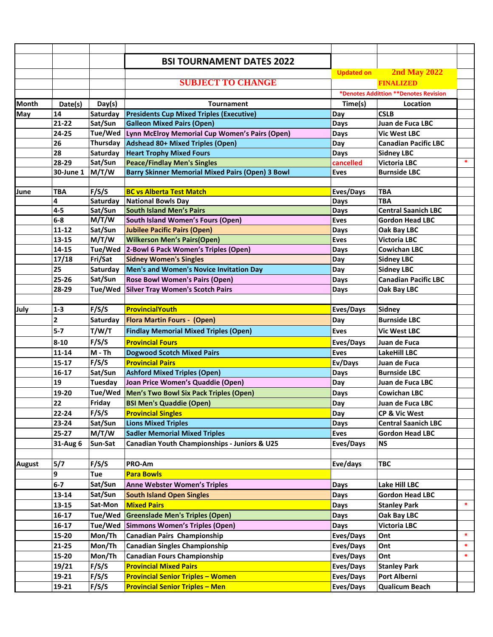|               |                         |                 | <b>BSI TOURNAMENT DATES 2022</b>                        |                   |                             |        |
|---------------|-------------------------|-----------------|---------------------------------------------------------|-------------------|-----------------------------|--------|
|               |                         |                 |                                                         | <b>Updated on</b> | <b>2nd May 2022</b>         |        |
|               |                         |                 | <b>SUBJECT TO CHANGE</b>                                |                   | <b>FINALIZED</b>            |        |
|               |                         |                 | *Denotes Addittion **Denotes Revision                   |                   |                             |        |
| <b>Month</b>  | Date(s)                 | Day(s)          | <b>Tournament</b>                                       | Time(s)           | Location                    |        |
| May           | 14                      | Saturday        | <b>Presidents Cup Mixed Triples (Executive)</b>         | Day               | <b>CSLB</b>                 |        |
|               | $21 - 22$               | Sat/Sun         | <b>Galleon Mixed Pairs (Open)</b>                       | Days              | Juan de Fuca LBC            |        |
|               | 24-25                   | Tue/Wed         | Lynn McElroy Memorial Cup Women's Pairs (Open)          | Days              | <b>Vic West LBC</b>         |        |
|               | 26                      | Thursday        | Adshead 80+ Mixed Triples (Open)                        | Day               | <b>Canadian Pacific LBC</b> |        |
|               | 28                      | <b>Saturday</b> | <b>Heart Trophy Mixed Fours</b>                         | Days              | <b>Sidney LBC</b>           |        |
|               | 28-29                   | Sat/Sun         | <b>Peace/Findlay Men's Singles</b>                      | cancelled         | <b>Victoria LBC</b>         | $\ast$ |
|               | 30-June 1               | M/T/W           | <b>Barry Skinner Memorial Mixed Pairs (Open) 3 Bowl</b> | <b>Eves</b>       | <b>Burnside LBC</b>         |        |
|               |                         |                 |                                                         |                   |                             |        |
| June          | TBA                     | F/S/S           | <b>BC vs Alberta Test Match</b>                         | Eves/Days         | <b>TBA</b>                  |        |
|               | 4                       | Saturday        | <b>National Bowls Day</b>                               | Days              | <b>TBA</b>                  |        |
|               | $4 - 5$                 | Sat/Sun         | <b>South Island Men's Pairs</b>                         | Days              | <b>Central Saanich LBC</b>  |        |
|               | $6-8$                   | M/T/W           | <b>South Island Women's Fours (Open)</b>                | <b>Eves</b>       | <b>Gordon Head LBC</b>      |        |
|               | $11 - 12$               | Sat/Sun         | <b>Jubilee Pacific Pairs (Open)</b>                     | Days              | Oak Bay LBC                 |        |
|               | 13-15                   | M/T/W           | <b>Wilkerson Men's Pairs(Open)</b>                      | <b>Eves</b>       | <b>Victoria LBC</b>         |        |
|               | 14-15                   |                 | Tue/Wed 2-Bowl 6 Pack Women's Triples (Open)            | Days              | <b>Cowichan LBC</b>         |        |
|               | 17/18                   | Fri/Sat         | <b>Sidney Women's Singles</b>                           | Day               | <b>Sidney LBC</b>           |        |
|               | 25                      | Saturday        | Men's and Women's Novice Invitation Day                 | Day               | <b>Sidney LBC</b>           |        |
|               | $25 - 26$               | Sat/Sun         | <b>Rose Bowl Women's Pairs (Open)</b>                   | Days              | <b>Canadian Pacific LBC</b> |        |
|               | 28-29                   | Tue/Wed         | <b>Silver Tray Women's Scotch Pairs</b>                 | Days              | Oak Bay LBC                 |        |
|               |                         |                 |                                                         |                   |                             |        |
| July          | $1 - 3$                 | F/S/S           | ProvincialYouth                                         | Eves/Days         | <b>Sidney</b>               |        |
|               | $\overline{\mathbf{c}}$ | Saturday        | <b>Flora Martin Fours - (Open)</b>                      | Day               | <b>Burnside LBC</b>         |        |
|               | $5 - 7$                 | T/W/T           | <b>Findlay Memorial Mixed Triples (Open)</b>            | <b>Eves</b>       | <b>Vic West LBC</b>         |        |
|               | $8 - 10$                | F/S/S           | <b>Provincial Fours</b>                                 | Eves/Days         | Juan de Fuca                |        |
|               | $11 - 14$               | M - Th          | <b>Dogwood Scotch Mixed Pairs</b>                       | <b>Eves</b>       | <b>LakeHill LBC</b>         |        |
|               | $15 - 17$               | F/S/S           | <b>Provincial Pairs</b>                                 | Ev/Days           | Juan de Fuca                |        |
|               | 16-17                   | Sat/Sun         | <b>Ashford Mixed Triples (Open)</b>                     | Days              | <b>Burnside LBC</b>         |        |
|               | 19                      | Tuesday         | Joan Price Women's Quaddie (Open)                       | Day               | Juan de Fuca LBC            |        |
|               | 19-20                   | Tue/Wed         | Men's Two Bowl Six Pack Triples (Open)                  | Days              | <b>Cowichan LBC</b>         |        |
|               | 22                      | Friday          | <b>BSI Men's Quaddie (Open)</b>                         | Day               | Juan de Fuca LBC            |        |
|               | 22-24                   | F/S/S           | <b>Provincial Singles</b>                               | Day               | CP & Vic West               |        |
|               | 23-24                   | Sat/Sun         | <b>Lions Mixed Triples</b>                              | Days              | <b>Central Saanich LBC</b>  |        |
|               | 25-27                   | M/T/W           | <b>Sadler Memorial Mixed Triples</b>                    | <b>Eves</b>       | <b>Gordon Head LBC</b>      |        |
|               | 31-Aug 6                | Sun-Sat         | Canadian Youth Championships - Juniors & U25            | Eves/Days         | <b>NS</b>                   |        |
|               |                         |                 |                                                         |                   |                             |        |
| <b>August</b> | 5/7                     | F/S/S           | PRO-Am                                                  | Eve/days          | <b>TBC</b>                  |        |
|               | 9                       | Tue             | <b>Para Bowls</b>                                       |                   |                             |        |
|               | $6-7$                   | Sat/Sun         | <b>Anne Webster Women's Triples</b>                     | Days              | Lake Hill LBC               |        |
|               | 13-14                   | Sat/Sun         | <b>South Island Open Singles</b>                        | Days              | <b>Gordon Head LBC</b>      |        |
|               | $13 - 15$               | Sat-Mon         | <b>Mixed Pairs</b>                                      | Days              | <b>Stanley Park</b>         | $\ast$ |
|               | 16-17                   | Tue/Wed         | <b>Greenslade Men's Triples (Open)</b>                  | Days              | Oak Bay LBC                 |        |
|               | 16-17                   | Tue/Wed         | Simmons Women's Triples (Open)                          | Days              | <b>Victoria LBC</b>         |        |
|               | 15-20                   | Mon/Th          | <b>Canadian Pairs Championship</b>                      | Eves/Days         | Ont                         | $\ast$ |
|               | $21 - 25$               | Mon/Th          | <b>Canadian Singles Championship</b>                    | Eves/Days         | Ont                         | $\ast$ |
|               | 15-20                   | Mon/Th          | <b>Canadian Fours Championship</b>                      | Eves/Days         | Ont                         | $\ast$ |
|               | 19/21                   | F/S/S           | <b>Provincial Mixed Pairs</b>                           | Eves/Days         | <b>Stanley Park</b>         |        |
|               | 19-21                   | F/S/S           | <b>Provincial Senior Triples - Women</b>                | Eves/Days         | Port Alberni                |        |
|               |                         |                 |                                                         |                   |                             |        |
|               | 19-21                   | F/S/S           | <b>Provincial Senior Triples - Men</b>                  | Eves/Days         | <b>Qualicum Beach</b>       |        |